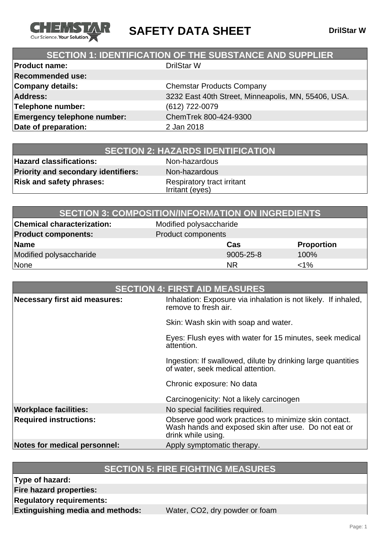

**SAFETY DATA SHEET** DrilStar W

## **SECTION 1: IDENTIFICATION OF THE SUBSTANCE AND SUPPLIER**

| <b>Product name:</b>               | <b>DrilStar W</b>                                   |
|------------------------------------|-----------------------------------------------------|
| <b>Recommended use:</b>            |                                                     |
| <b>Company details:</b>            | <b>Chemstar Products Company</b>                    |
| <b>Address:</b>                    | 3232 East 40th Street, Minneapolis, MN, 55406, USA. |
| Telephone number:                  | (612) 722-0079                                      |
| <b>Emergency telephone number:</b> | ChemTrek 800-424-9300                               |
| Date of preparation:               | 2 Jan 2018                                          |
|                                    |                                                     |

| <b>SECTION 2: HAZARDS IDENTIFICATION</b> |
|------------------------------------------|
|------------------------------------------|

**Hazard classifications:** Non-hazardous **Priority and secondary identifiers:** Non-hazardous **Risk and safety phrases:** Respiratory tract irritant

Irritant (eyes)

| <b>SECTION 3: COMPOSITION/INFORMATION ON INGREDIENTS</b> |                         |                   |
|----------------------------------------------------------|-------------------------|-------------------|
| <b>Chemical characterization:</b>                        | Modified polysaccharide |                   |
| <b>Product components:</b>                               | Product components      |                   |
| Name                                                     | Cas                     | <b>Proportion</b> |
| Modified polysaccharide                                  | 9005-25-8               | 100%              |
| None                                                     | <b>NR</b>               | $< 1\%$           |

| <b>SECTION 4: FIRST AID MEASURES</b> |                                                                                                                                     |
|--------------------------------------|-------------------------------------------------------------------------------------------------------------------------------------|
| Necessary first aid measures:        | Inhalation: Exposure via inhalation is not likely. If inhaled,<br>remove to fresh air.                                              |
|                                      | Skin: Wash skin with soap and water.                                                                                                |
|                                      | Eyes: Flush eyes with water for 15 minutes, seek medical<br>attention.                                                              |
|                                      | Ingestion: If swallowed, dilute by drinking large quantities<br>of water, seek medical attention.                                   |
|                                      | Chronic exposure: No data                                                                                                           |
|                                      | Carcinogenicity: Not a likely carcinogen                                                                                            |
| <b>Workplace facilities:</b>         | No special facilities required.                                                                                                     |
| <b>Required instructions:</b>        | Observe good work practices to minimize skin contact.<br>Wash hands and exposed skin after use. Do not eat or<br>drink while using. |
| Notes for medical personnel:         | Apply symptomatic therapy.                                                                                                          |

## **SECTION 5: FIRE FIGHTING MEASURES**

**Type of hazard:**

**Fire hazard properties:**

**Regulatory requirements:**

**Extinguishing media and methods:** Water, CO2, dry powder or foam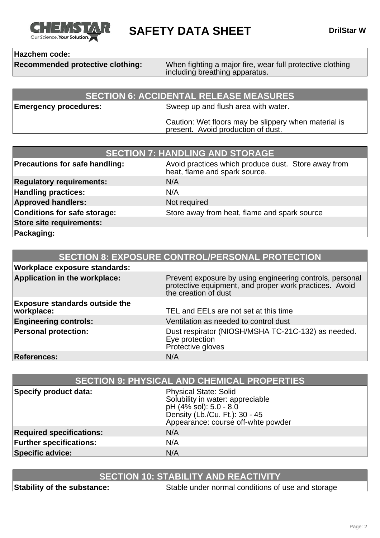

**SAFETY DATA SHEET** DrilStar W

### **Hazchem code:**

**Recommended protective clothing:** When fighting a major fire, wear full protective clothing including breathing apparatus.

### **SECTION 6: ACCIDENTAL RELEASE MEASURES**

**Emergency procedures:** Sweep up and flush area with water.

Caution: Wet floors may be slippery when material is present. Avoid production of dust.

| <b>SECTION 7: HANDLING AND STORAGE</b> |                                                                                      |
|----------------------------------------|--------------------------------------------------------------------------------------|
| <b>Precautions for safe handling:</b>  | Avoid practices which produce dust. Store away from<br>heat, flame and spark source. |
| <b>Regulatory requirements:</b>        | N/A                                                                                  |
| <b>Handling practices:</b>             | N/A                                                                                  |
| <b>Approved handlers:</b>              | Not required                                                                         |
| <b>Conditions for safe storage:</b>    | Store away from heat, flame and spark source                                         |
| <b>Store site requirements:</b>        |                                                                                      |
| Packaging:                             |                                                                                      |

|                                                     | <b>SECTION 8: EXPOSURE CONTROL/PERSONAL PROTECTION</b>                                                                                     |
|-----------------------------------------------------|--------------------------------------------------------------------------------------------------------------------------------------------|
| <b>Workplace exposure standards:</b>                |                                                                                                                                            |
| Application in the workplace:                       | Prevent exposure by using engineering controls, personal<br>protective equipment, and proper work practices. Avoid<br>the creation of dust |
| <b>Exposure standards outside the</b><br>workplace: | TEL and EELs are not set at this time                                                                                                      |
| <b>Engineering controls:</b>                        | Ventilation as needed to control dust                                                                                                      |
| <b>Personal protection:</b>                         | Dust respirator (NIOSH/MSHA TC-21C-132) as needed.<br>Eye protection<br>Protective gloves                                                  |
| <b>References:</b>                                  | N/A                                                                                                                                        |

| <b>SECTION 9: PHYSICAL AND CHEMICAL PROPERTIES</b> |                                                                                                                                                                    |
|----------------------------------------------------|--------------------------------------------------------------------------------------------------------------------------------------------------------------------|
| Specify product data:                              | <b>Physical State: Solid</b><br>Solubility in water: appreciable<br>pH (4% sol): 5.0 - 8.0<br>Density (Lb./Cu. Ft.): 30 - 45<br>Appearance: course off-whte powder |
| <b>Required specifications:</b>                    | N/A                                                                                                                                                                |
| <b>Further specifications:</b>                     | N/A                                                                                                                                                                |
| <b>Specific advice:</b>                            | N/A                                                                                                                                                                |

# **SECTION 10: STABILITY AND REACTIVITY**

**Stability of the substance:** Stable under normal conditions of use and storage